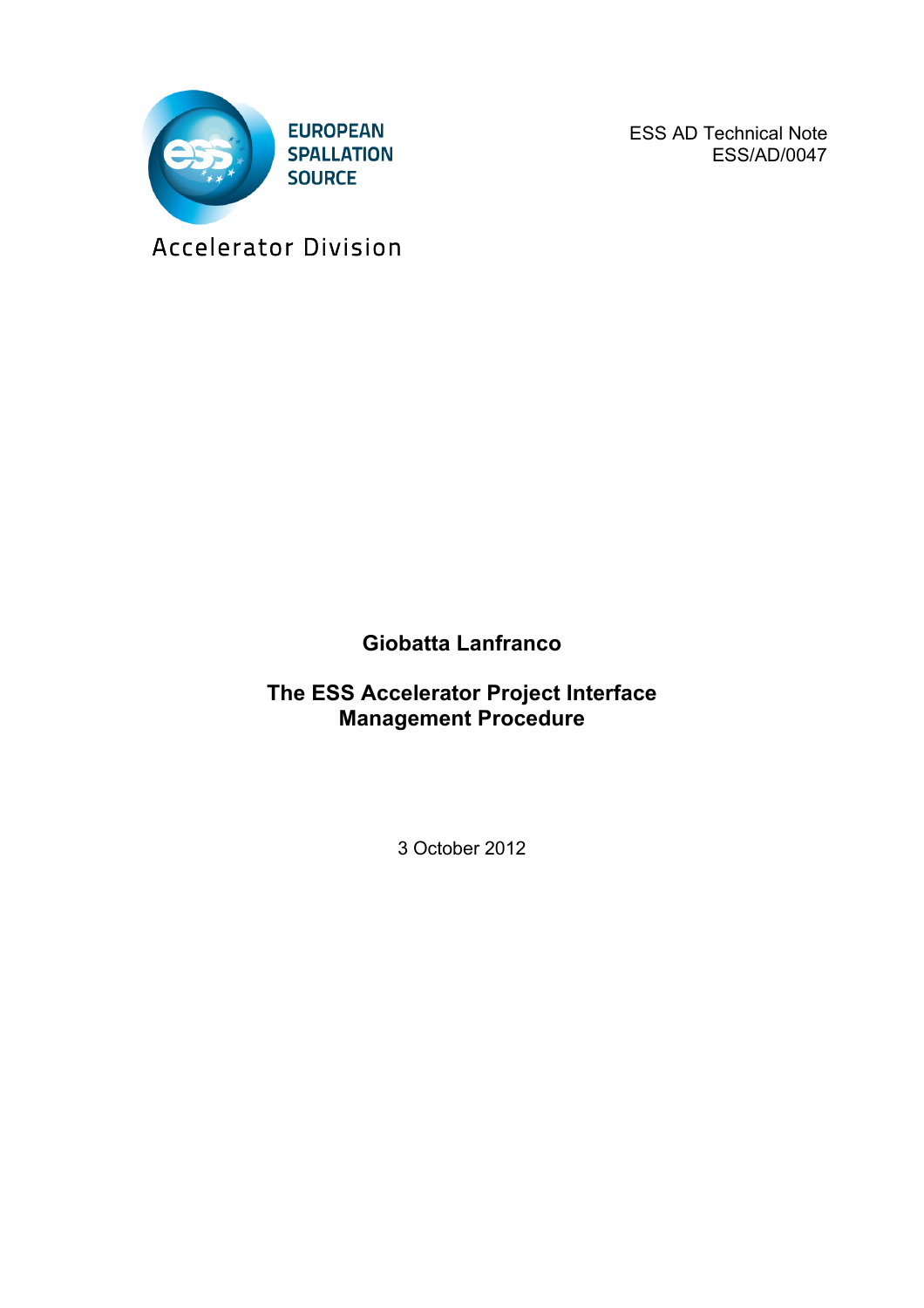

ESS AD Technical Note ESS/AD/0047

Accelerator Division

## **Giobatta Lanfranco**

**The ESS Accelerator Project Interface Management Procedure**

3 October 2012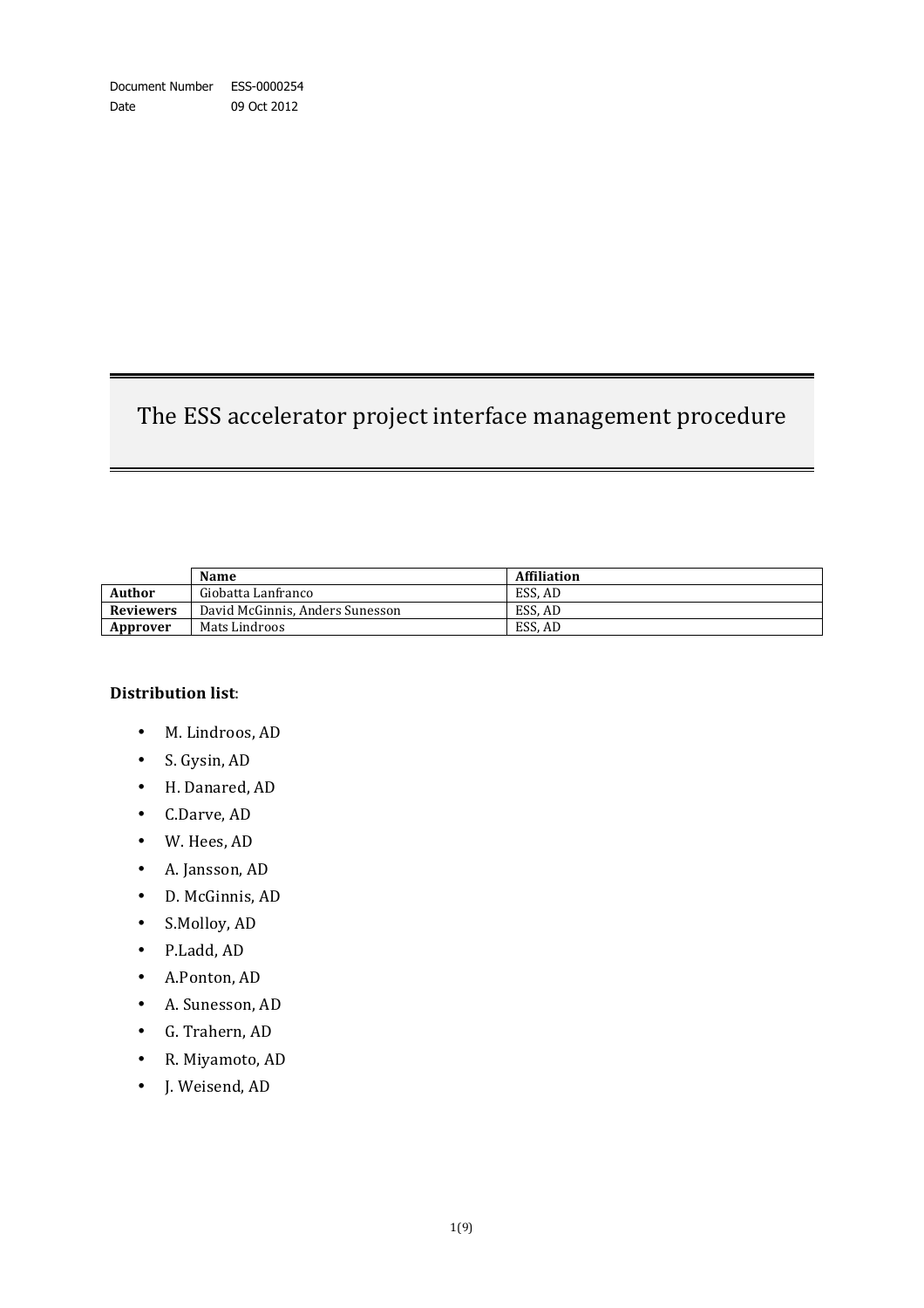# The ESS accelerator project interface management procedure

|                  | <b>Name</b>                     | <b>Affiliation</b> |
|------------------|---------------------------------|--------------------|
| <b>Author</b>    | Giobatta Lanfranco              | ESS. AD            |
| <b>Reviewers</b> | David McGinnis, Anders Sunesson | ESS. AD            |
| Approver         | Mats Lindroos                   | ESS. AD            |

#### **Distribution list**:

- M. Lindroos, AD
- S. Gysin, AD
- H. Danared, AD
- C.Darve, AD
- W. Hees, AD
- A. Jansson, AD
- D. McGinnis, AD
- S.Molloy, AD
- P.Ladd, AD
- A.Ponton, AD
- A. Sunesson, AD
- G. Trahern, AD
- R. Miyamoto, AD
- J. Weisend, AD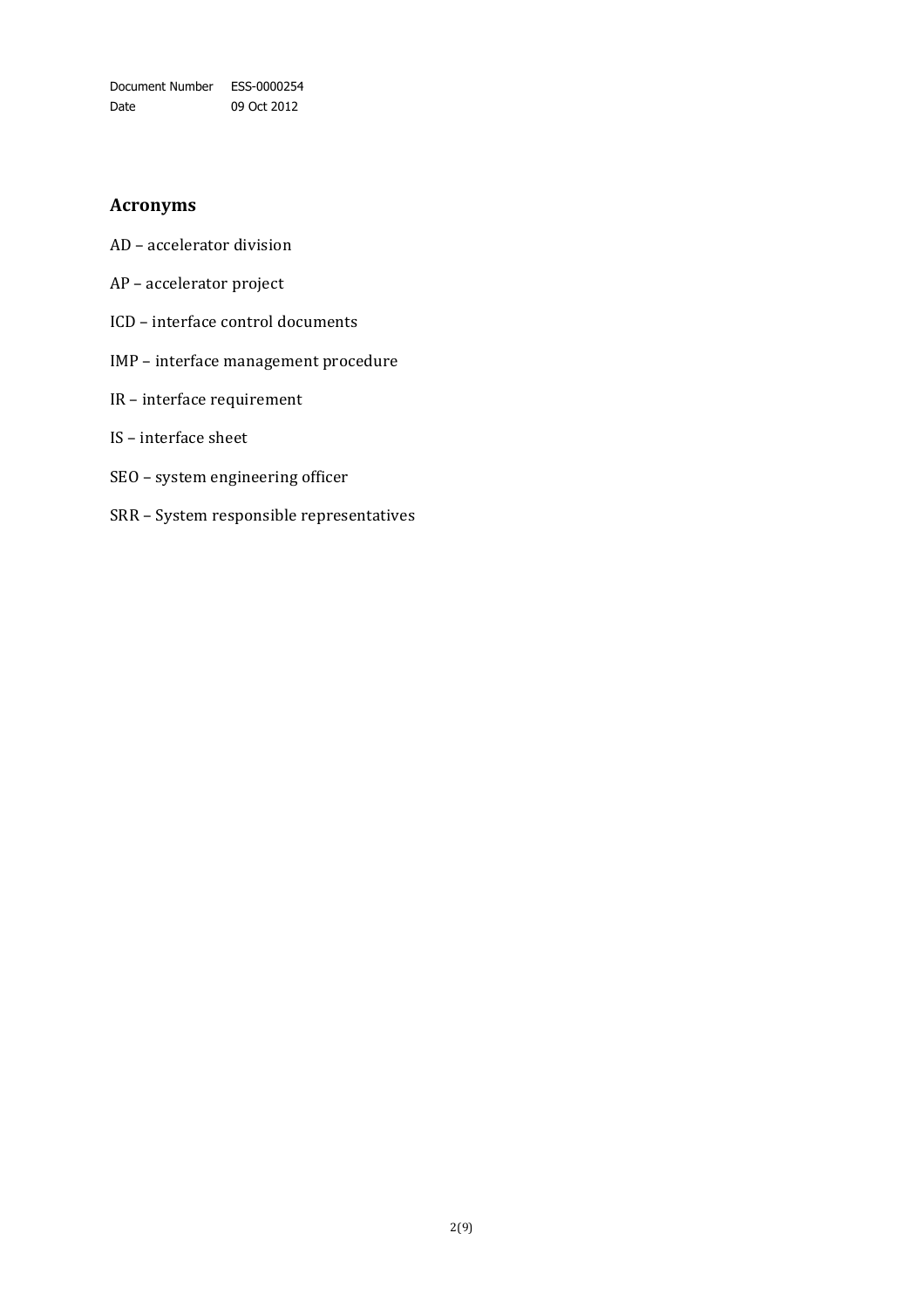Document Number ESS-0000254 Date 09 Oct 2012

### **Acronyms**

- AD accelerator division
- AP accelerator project
- ICD interface control documents
- IMP interface management procedure
- IR interface requirement
- IS interface sheet
- SEO system engineering officer
- SRR System responsible representatives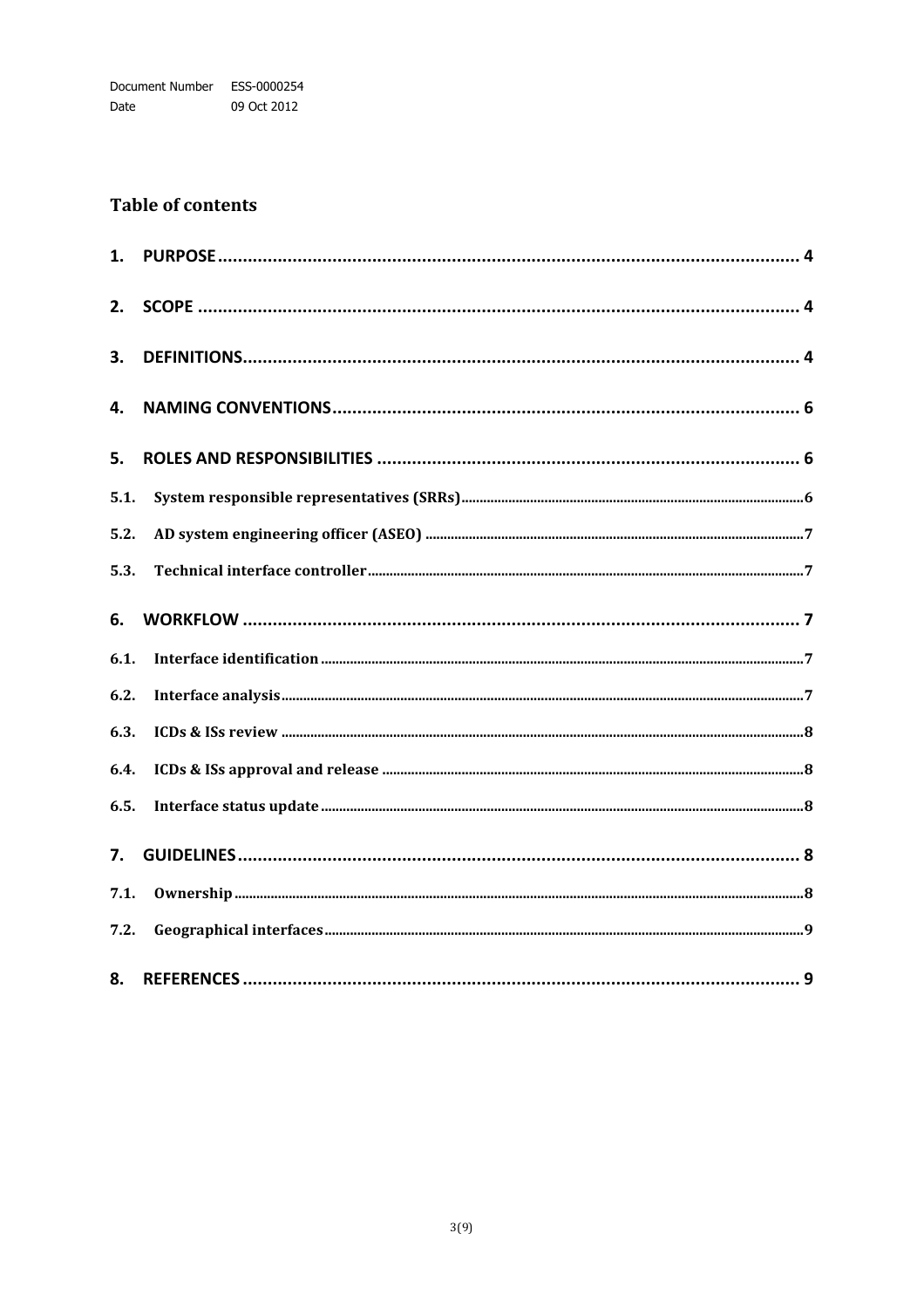## **Table of contents**

| 1.   |  |
|------|--|
| 2.   |  |
| 3.   |  |
| 4.   |  |
| 5.   |  |
| 5.1. |  |
| 5.2. |  |
| 5.3. |  |
| 6.   |  |
| 6.1. |  |
| 6.2. |  |
| 6.3. |  |
| 6.4. |  |
| 6.5. |  |
| 7.   |  |
| 7.1. |  |
| 7.2. |  |
| 8.   |  |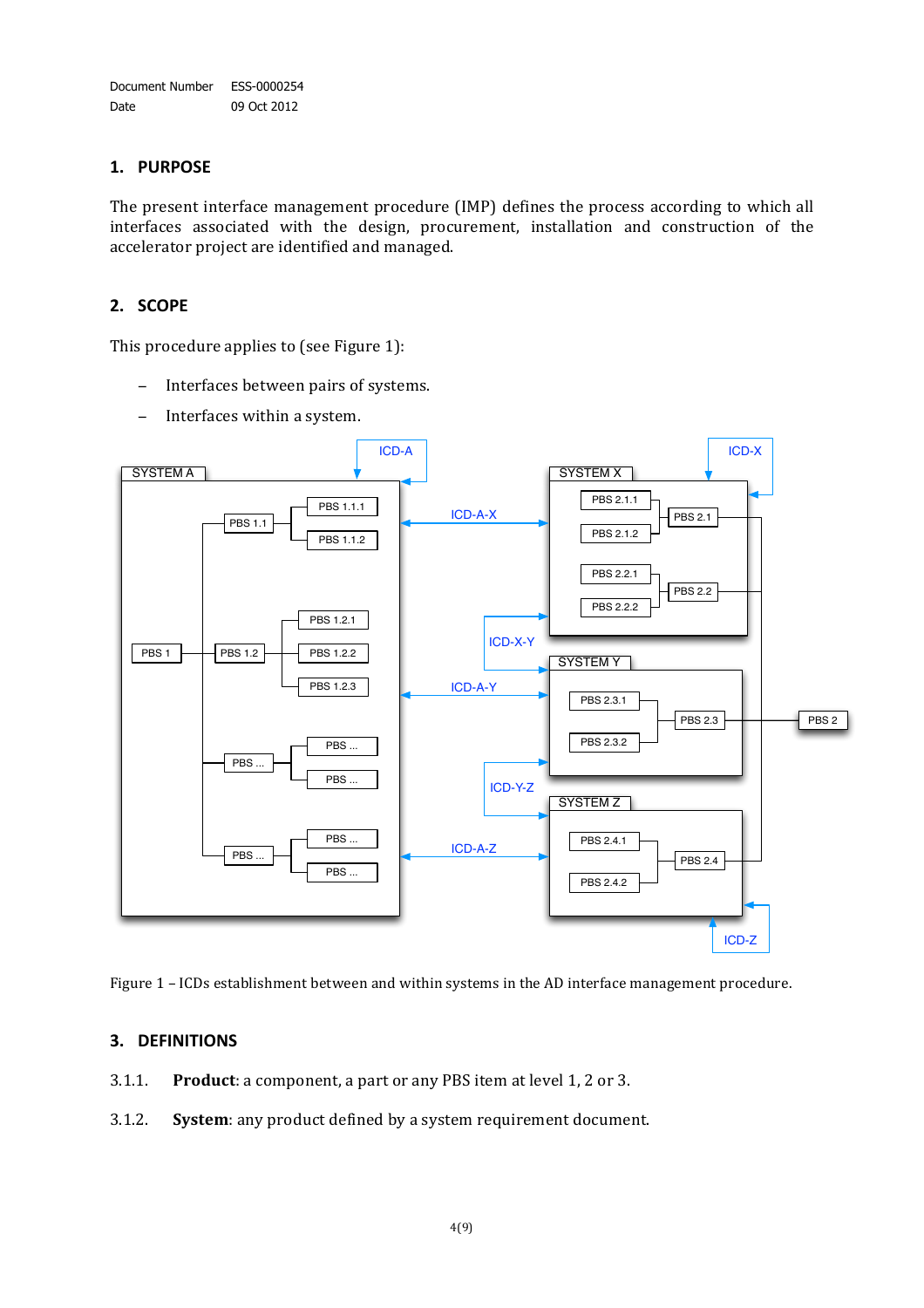#### **1. PURPOSE**

The present interface management procedure (IMP) defines the process according to which all interfaces associated with the design, procurement, installation and construction of the accelerator project are identified and managed.

#### **2. SCOPE**

This procedure applies to (see Figure 1):

- − Interfaces between pairs of systems.
- − Interfaces within a system.



Figure 1 – ICDs establishment between and within systems in the AD interface management procedure.

#### **3. DEFINITIONS**

- 3.1.1. **Product**: a component, a part or any PBS item at level 1, 2 or 3.
- 3.1.2. **System:** any product defined by a system requirement document.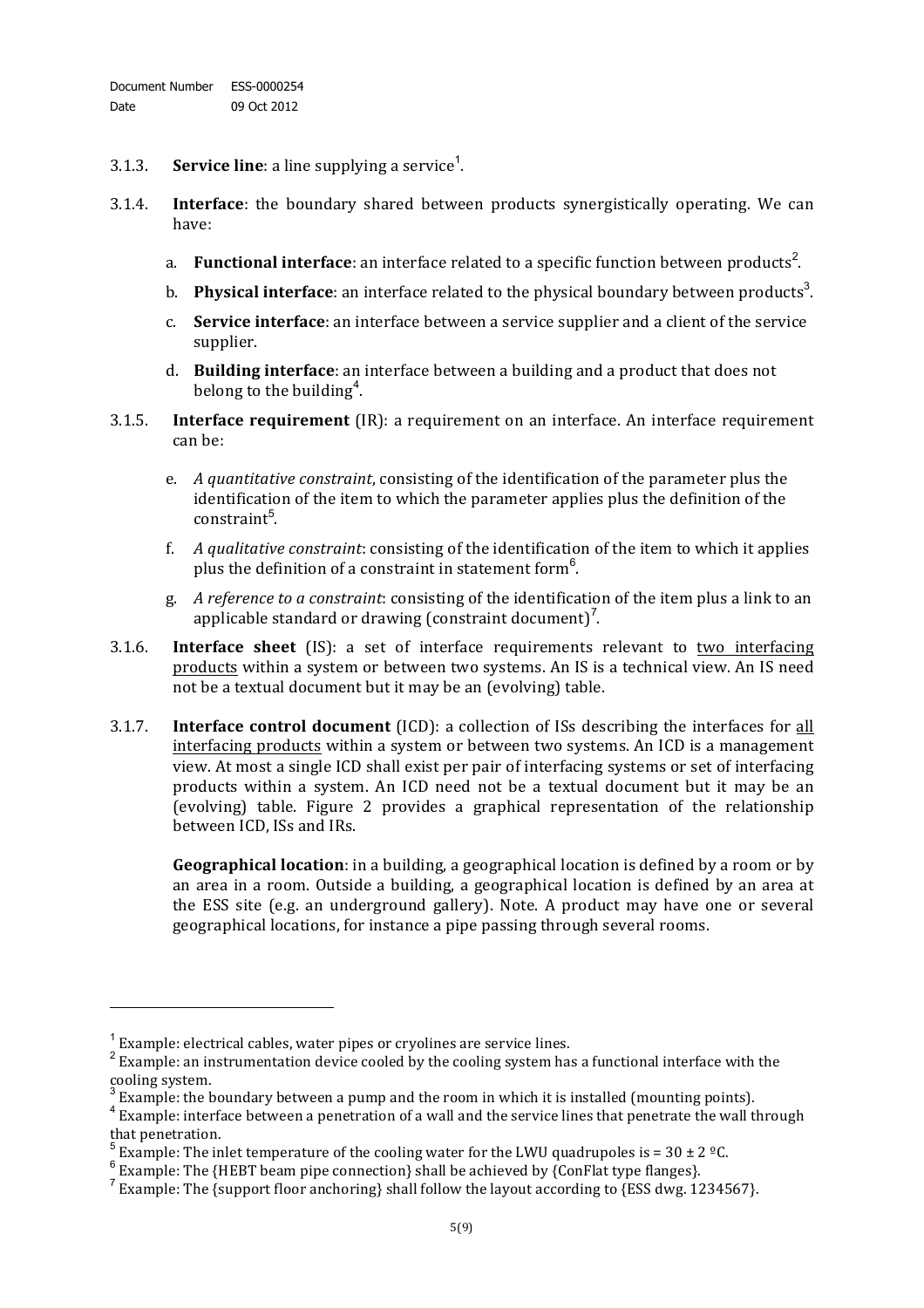- 3.1.3. **Service line**: a line supplying a service<sup>1</sup>.
- 3.1.4. **Interface**: the boundary shared between products synergistically operating. We can have:
	- a. Functional interface: an interface related to a specific function between products<sup>2</sup>.
	- b. Physical interface: an interface related to the physical boundary between products<sup>3</sup>.
	- c. **Service interface**: an interface between a service supplier and a client of the service supplier.
	- d. **Building interface**: an interface between a building and a product that does not belong to the building<sup>4</sup>.
- 3.1.5. **Interface requirement** (IR): a requirement on an interface. An interface requirement can he:
	- e. *A quantitative constraint*, consisting of the identification of the parameter plus the identification of the item to which the parameter applies plus the definition of the constraint<sup>5</sup>.
	- f. *A qualitative constraint:* consisting of the identification of the item to which it applies plus the definition of a constraint in statement form<sup>6</sup>.
	- g. *A reference to a constraint*: consisting of the identification of the item plus a link to an applicable standard or drawing (constraint document)<sup>7</sup>.
- 3.1.6. **Interface sheet** (IS): a set of interface requirements relevant to two interfacing products within a system or between two systems. An IS is a technical view. An IS need not be a textual document but it may be an (evolving) table.
- 3.1.7. **Interface control document** (ICD): a collection of ISs describing the interfaces for all interfacing products within a system or between two systems. An ICD is a management view. At most a single ICD shall exist per pair of interfacing systems or set of interfacing products within a system. An ICD need not be a textual document but it may be an (evolving) table. Figure 2 provides a graphical representation of the relationship between ICD. ISs and IRs.

**Geographical location**: in a building, a geographical location is defined by a room or by an area in a room. Outside a building, a geographical location is defined by an area at the ESS site (e.g. an underground gallery). Note. A product may have one or several geographical locations, for instance a pipe passing through several rooms.

!!!!!!!!!!!!!!!!!!!!!!!!!!!!!!!!!!!!!!!!!!!!!!!!!!!!!!!!!!!!

<sup>&</sup>lt;sup>1</sup> Example: electrical cables, water pipes or cryolines are service lines. <sup>2</sup> Example: an instrumentation device cooled by the cooling system has a functional interface with the cooling system.

Example: the boundary between a pump and the room in which it is installed (mounting points).

<sup>&</sup>lt;sup>4</sup> Example: interface between a penetration of a wall and the service lines that penetrate the wall through that penetration.<br><sup>5</sup> Example: The inlet temperature of the cooling water for the LWU quadrupoles is = 30 ± 2 <sup>o</sup>C.<br><sup>6</sup> Example: The {HEBT beam pipe connection} shall be achieved by {ConFlat type flanges}.

 $^7$  Example: The {support floor anchoring} shall follow the layout according to {ESS dwg. 1234567}.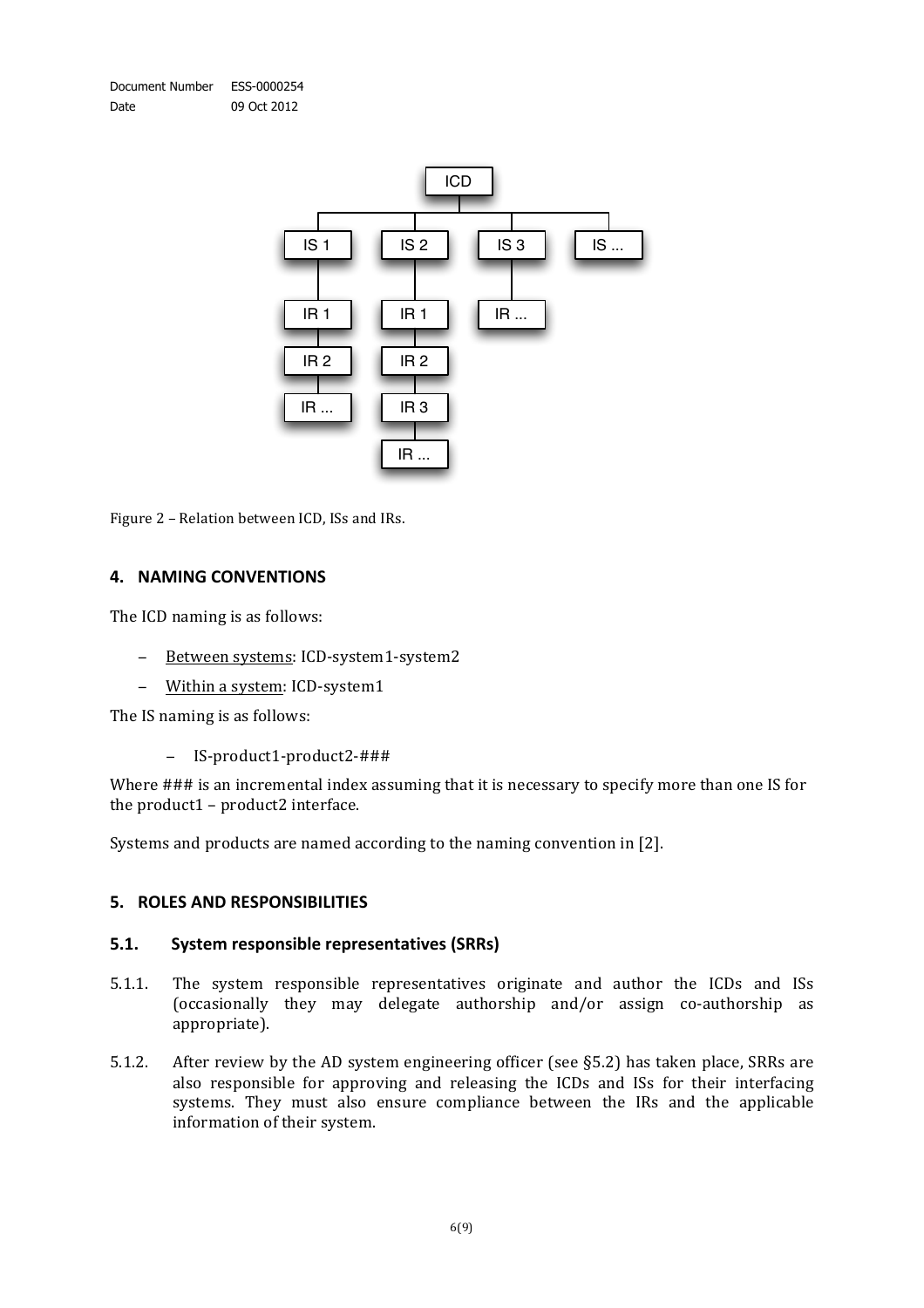

Figure 2 – Relation between ICD, ISs and IRs.

#### **4. NAMING)CONVENTIONS**

The ICD naming is as follows:

- − Between systems: ICD-system1-system2
- Within a system: ICD-system1

The IS naming is as follows:

− IS-product1-product2-###

Where ### is an incremental index assuming that it is necessary to specify more than one IS for the product $1$  – product $2$  interface.

Systems and products are named according to the naming convention in [2].

#### **5. ROLES AND RESPONSIBILITIES**

#### **5.1.** System responsible representatives (SRRs)

- 5.1.1. The system responsible representatives originate and author the ICDs and ISs (occasionally they may delegate authorship and/or assign co-authorship as appropriate).
- 5.1.2. After review by the AD system engineering officer (see §5.2) has taken place, SRRs are also responsible for approving and releasing the ICDs and ISs for their interfacing systems. They must also ensure compliance between the IRs and the applicable information of their system.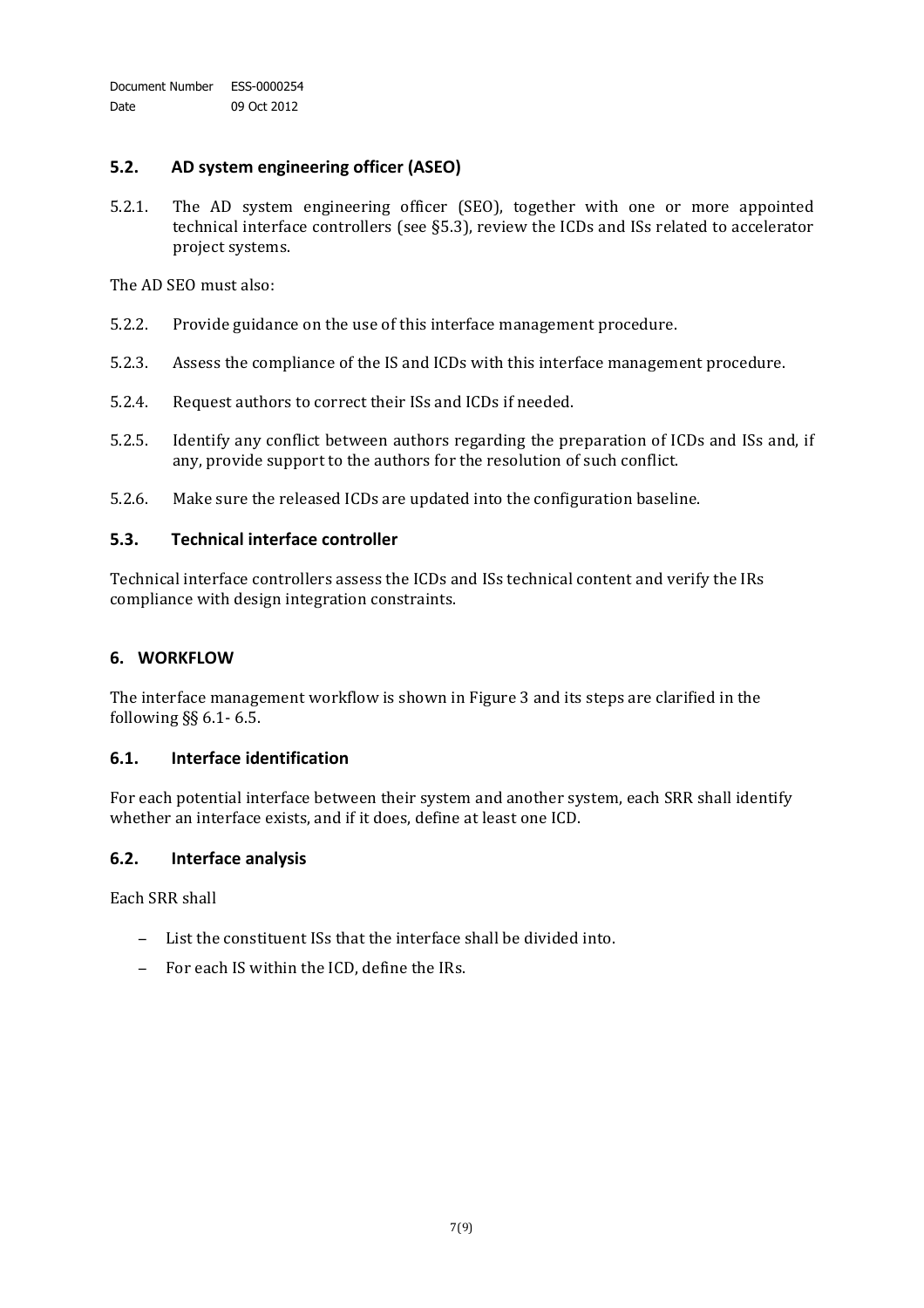#### **5.2. AD)system)engineering)officer (ASEO)**

5.2.1. The AD system engineering officer (SEO), together with one or more appointed technical interface controllers (see  $\S5.3$ ), review the ICDs and ISs related to accelerator project systems.

The AD SEO must also:

- 5.2.2. Provide guidance on the use of this interface management procedure.
- 5.2.3. Assess the compliance of the IS and ICDs with this interface management procedure.
- 5.2.4. Request authors to correct their ISs and ICDs if needed.
- 5.2.5. Identify any conflict between authors regarding the preparation of ICDs and ISs and, if any, provide support to the authors for the resolution of such conflict.
- 5.2.6. Make sure the released ICDs are updated into the configuration baseline.

#### **5.3. Technical interface)controller**

Technical interface controllers assess the ICDs and ISs technical content and verify the IRs compliance with design integration constraints.

#### **6. WORKFLOW**

The interface management workflow is shown in Figure 3 and its steps are clarified in the following  $\S$ § 6.1 - 6.5.

#### **6.1. Interface)identification**

For each potential interface between their system and another system, each SRR shall identify whether an interface exists, and if it does, define at least one ICD.

#### **6.2. Interface)analysis**

Each SRR shall

- − List the constituent ISs that the interface shall be divided into.
- − For each IS within the ICD, define the IRs.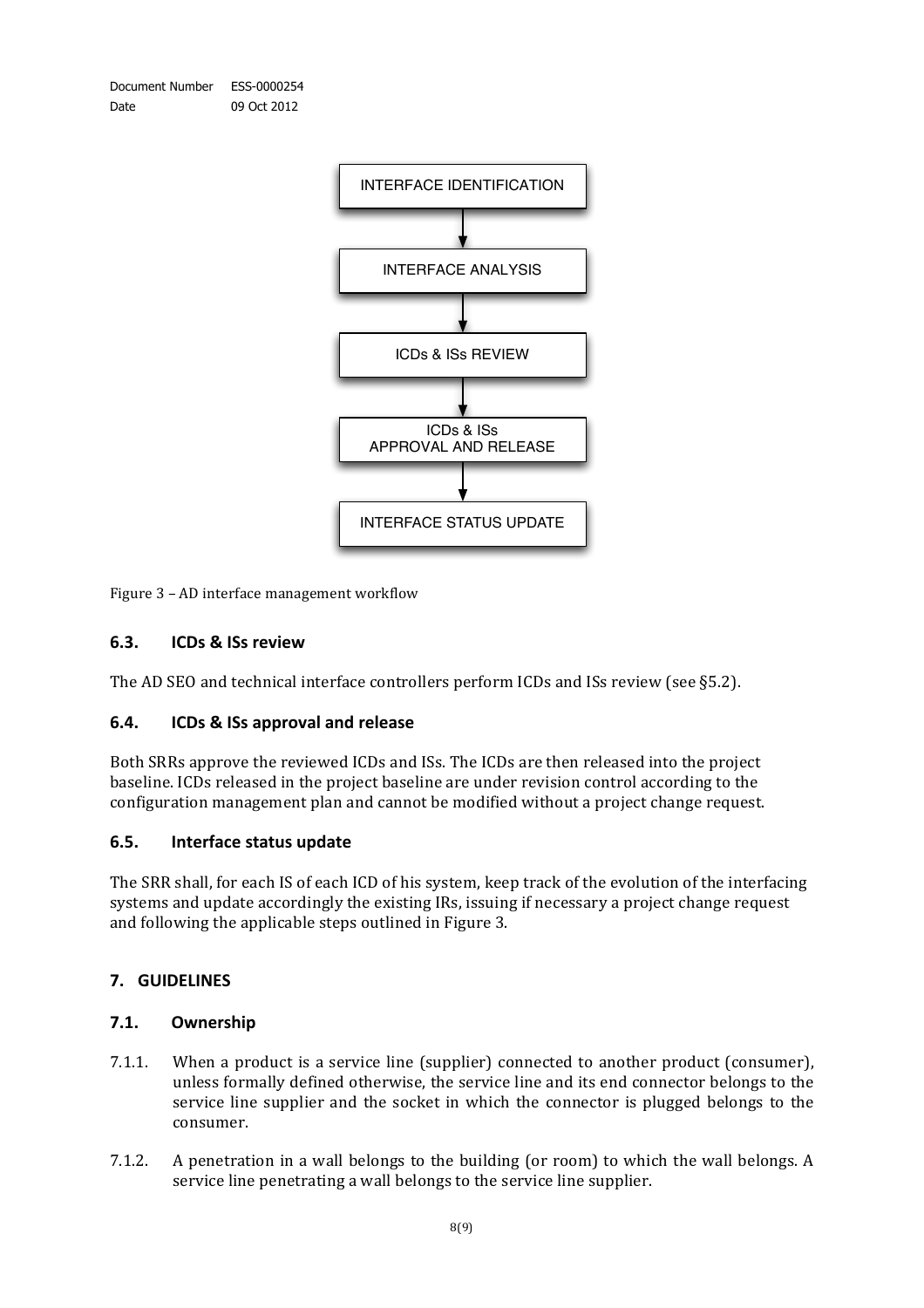



Figure 3 – AD interface management workflow

#### **6.3. ICDs)&)ISs)review**

The AD SEO and technical interface controllers perform ICDs and ISs review (see §5.2).

#### **6.4. ICDs)&)ISs)approval and release**

Both SRRs approve the reviewed ICDs and ISs. The ICDs are then released into the project baseline. ICDs released in the project baseline are under revision control according to the configuration management plan and cannot be modified without a project change request.

#### **6.5. Interface status update**

The SRR shall, for each IS of each ICD of his system, keep track of the evolution of the interfacing systems and update accordingly the existing IRs, issuing if necessary a project change request and following the applicable steps outlined in Figure 3.

#### **7. GUIDELINES**

#### **7.1. Ownership**

- 7.1.1. When a product is a service line (supplier) connected to another product (consumer), unless formally defined otherwise, the service line and its end connector belongs to the service line supplier and the socket in which the connector is plugged belongs to the consumer.
- 7.1.2. A penetration in a wall belongs to the building (or room) to which the wall belongs. A service line penetrating a wall belongs to the service line supplier.